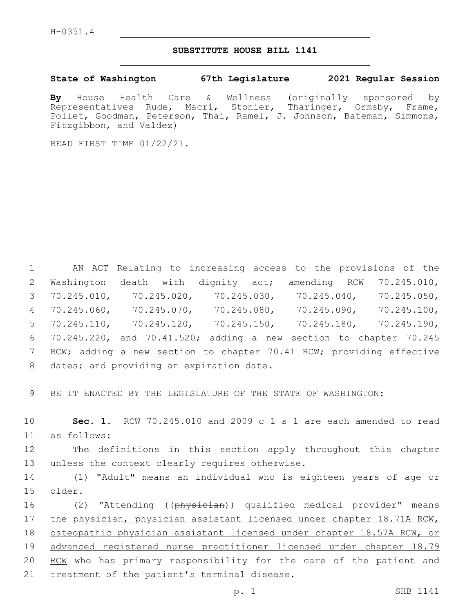## **SUBSTITUTE HOUSE BILL 1141**

## **State of Washington 67th Legislature 2021 Regular Session**

**By** House Health Care & Wellness (originally sponsored by Representatives Rude, Macri, Stonier, Tharinger, Ormsby, Frame, Pollet, Goodman, Peterson, Thai, Ramel, J. Johnson, Bateman, Simmons, Fitzgibbon, and Valdez)

READ FIRST TIME 01/22/21.

 AN ACT Relating to increasing access to the provisions of the Washington death with dignity act; amending RCW 70.245.010, 70.245.010, 70.245.020, 70.245.030, 70.245.040, 70.245.050, 70.245.060, 70.245.070, 70.245.080, 70.245.090, 70.245.100, 70.245.110, 70.245.120, 70.245.150, 70.245.180, 70.245.190, 70.245.220, and 70.41.520; adding a new section to chapter 70.245 7 RCW; adding a new section to chapter 70.41 RCW; providing effective 8 dates; and providing an expiration date.

9 BE IT ENACTED BY THE LEGISLATURE OF THE STATE OF WASHINGTON:

10 **Sec. 1.** RCW 70.245.010 and 2009 c 1 s 1 are each amended to read as follows:11

12 The definitions in this section apply throughout this chapter 13 unless the context clearly requires otherwise.

14 (1) "Adult" means an individual who is eighteen years of age or older.15

16 (2) "Attending ((physician)) qualified medical provider" means 17 the physician, physician assistant licensed under chapter 18.71A RCW, 18 osteopathic physician assistant licensed under chapter 18.57A RCW, or 19 advanced registered nurse practitioner licensed under chapter 18.79 20 RCM who has primary responsibility for the care of the patient and 21 treatment of the patient's terminal disease.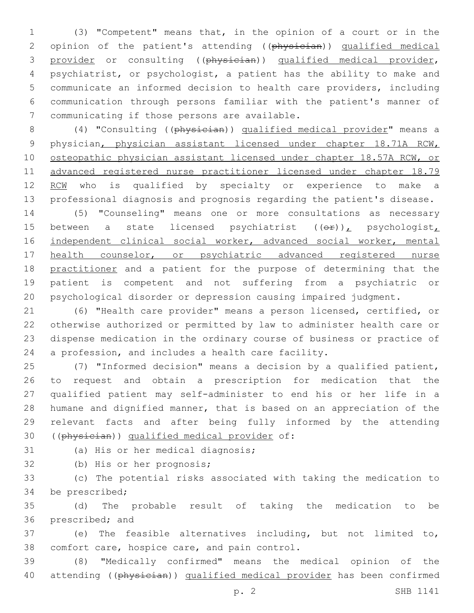(3) "Competent" means that, in the opinion of a court or in the 2 opinion of the patient's attending ((physician)) qualified medical provider or consulting ((physician)) qualified medical provider, psychiatrist, or psychologist, a patient has the ability to make and communicate an informed decision to health care providers, including communication through persons familiar with the patient's manner of 7 communicating if those persons are available.

 (4) "Consulting ((physician)) qualified medical provider" means a physician, physician assistant licensed under chapter 18.71A RCW, 10 osteopathic physician assistant licensed under chapter 18.57A RCW, or advanced registered nurse practitioner licensed under chapter 18.79 12 RCW who is qualified by specialty or experience to make a professional diagnosis and prognosis regarding the patient's disease.

 (5) "Counseling" means one or more consultations as necessary 15 between a state licensed psychiatrist  $((\theta \cdot \mathbf{r}))$ , psychologist, independent clinical social worker, advanced social worker, mental 17 health counselor, or psychiatric advanced registered nurse 18 practitioner and a patient for the purpose of determining that the patient is competent and not suffering from a psychiatric or psychological disorder or depression causing impaired judgment.

 (6) "Health care provider" means a person licensed, certified, or otherwise authorized or permitted by law to administer health care or dispense medication in the ordinary course of business or practice of a profession, and includes a health care facility.

 (7) "Informed decision" means a decision by a qualified patient, to request and obtain a prescription for medication that the qualified patient may self-administer to end his or her life in a humane and dignified manner, that is based on an appreciation of the relevant facts and after being fully informed by the attending 30 ((physician)) qualified medical provider of:

31 (a) His or her medical diagnosis;

32 (b) His or her prognosis;

 (c) The potential risks associated with taking the medication to 34 be prescribed;

 (d) The probable result of taking the medication to be 36 prescribed; and

 (e) The feasible alternatives including, but not limited to, 38 comfort care, hospice care, and pain control.

 (8) "Medically confirmed" means the medical opinion of the 40 attending ((physician)) qualified medical provider has been confirmed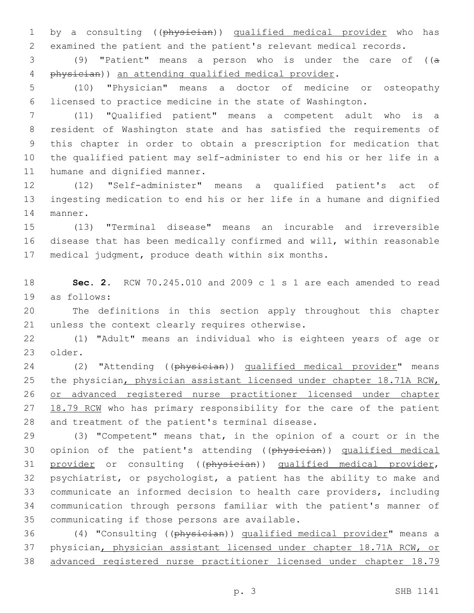1 by a consulting ((physician)) qualified medical provider who has examined the patient and the patient's relevant medical records.

 (9) "Patient" means a person who is under the care of ((a physician)) an attending qualified medical provider.

 (10) "Physician" means a doctor of medicine or osteopathy licensed to practice medicine in the state of Washington.

 (11) "Qualified patient" means a competent adult who is a resident of Washington state and has satisfied the requirements of this chapter in order to obtain a prescription for medication that the qualified patient may self-administer to end his or her life in a 11 humane and dignified manner.

 (12) "Self-administer" means a qualified patient's act of ingesting medication to end his or her life in a humane and dignified 14 manner.

 (13) "Terminal disease" means an incurable and irreversible disease that has been medically confirmed and will, within reasonable medical judgment, produce death within six months.

 **Sec. 2.** RCW 70.245.010 and 2009 c 1 s 1 are each amended to read as follows:19

 The definitions in this section apply throughout this chapter 21 unless the context clearly requires otherwise.

 (1) "Adult" means an individual who is eighteen years of age or 23 older.

24 (2) "Attending ((physician)) qualified medical provider" means 25 the physician, physician assistant licensed under chapter 18.71A RCW, or advanced registered nurse practitioner licensed under chapter 27 18.79 RCM who has primary responsibility for the care of the patient 28 and treatment of the patient's terminal disease.

 (3) "Competent" means that, in the opinion of a court or in the 30 opinion of the patient's attending ((physician)) qualified medical 31 provider or consulting ((physician)) qualified medical provider, psychiatrist, or psychologist, a patient has the ability to make and communicate an informed decision to health care providers, including communication through persons familiar with the patient's manner of 35 communicating if those persons are available.

 (4) "Consulting ((physician)) qualified medical provider" means a physician, physician assistant licensed under chapter 18.71A RCW, or advanced registered nurse practitioner licensed under chapter 18.79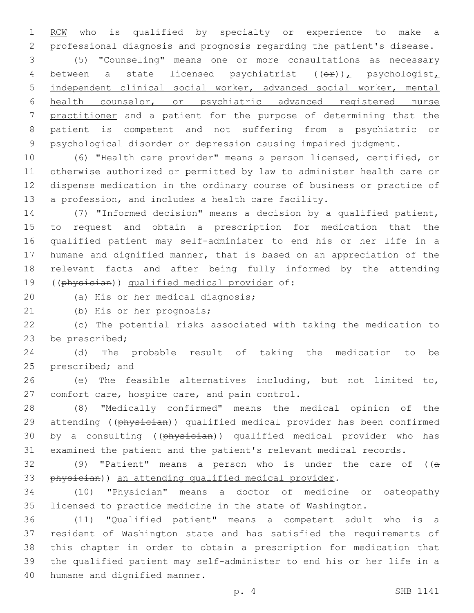1 RCM who is qualified by specialty or experience to make a professional diagnosis and prognosis regarding the patient's disease.

 (5) "Counseling" means one or more consultations as necessary 4 between a state licensed psychiatrist  $((\theta \cdot \mathbf{r}))_L$  psychologist, independent clinical social worker, advanced social worker, mental health counselor, or psychiatric advanced registered nurse practitioner and a patient for the purpose of determining that the patient is competent and not suffering from a psychiatric or psychological disorder or depression causing impaired judgment.

 (6) "Health care provider" means a person licensed, certified, or otherwise authorized or permitted by law to administer health care or dispense medication in the ordinary course of business or practice of a profession, and includes a health care facility.

 (7) "Informed decision" means a decision by a qualified patient, to request and obtain a prescription for medication that the qualified patient may self-administer to end his or her life in a humane and dignified manner, that is based on an appreciation of the relevant facts and after being fully informed by the attending 19 ((physician)) qualified medical provider of:

20 (a) His or her medical diagnosis;

21 (b) His or her prognosis;

 (c) The potential risks associated with taking the medication to 23 be prescribed;

 (d) The probable result of taking the medication to be 25 prescribed; and

 (e) The feasible alternatives including, but not limited to, 27 comfort care, hospice care, and pain control.

 (8) "Medically confirmed" means the medical opinion of the 29 attending ((physician)) qualified medical provider has been confirmed 30 by a consulting ((physician)) qualified medical provider who has examined the patient and the patient's relevant medical records.

32 (9) "Patient" means a person who is under the care of  $((a - b)^2)$ 33 physician)) an attending qualified medical provider.

 (10) "Physician" means a doctor of medicine or osteopathy licensed to practice medicine in the state of Washington.

 (11) "Qualified patient" means a competent adult who is a resident of Washington state and has satisfied the requirements of this chapter in order to obtain a prescription for medication that the qualified patient may self-administer to end his or her life in a 40 humane and dignified manner.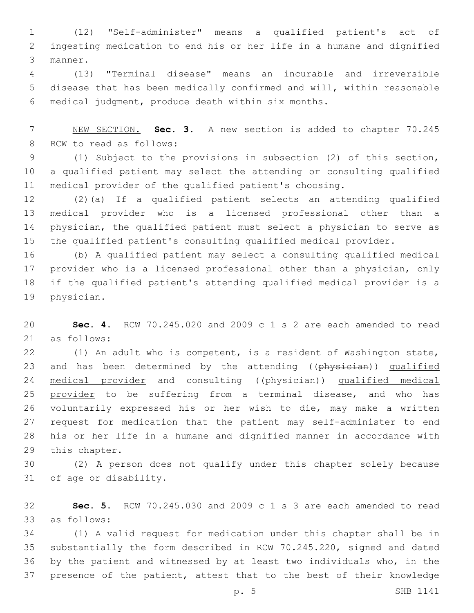(12) "Self-administer" means a qualified patient's act of ingesting medication to end his or her life in a humane and dignified 3 manner.

 (13) "Terminal disease" means an incurable and irreversible disease that has been medically confirmed and will, within reasonable medical judgment, produce death within six months.6

 NEW SECTION. **Sec. 3.** A new section is added to chapter 70.245 8 RCW to read as follows:

 (1) Subject to the provisions in subsection (2) of this section, a qualified patient may select the attending or consulting qualified medical provider of the qualified patient's choosing.

 (2)(a) If a qualified patient selects an attending qualified medical provider who is a licensed professional other than a physician, the qualified patient must select a physician to serve as the qualified patient's consulting qualified medical provider.

 (b) A qualified patient may select a consulting qualified medical provider who is a licensed professional other than a physician, only if the qualified patient's attending qualified medical provider is a 19 physician.

 **Sec. 4.** RCW 70.245.020 and 2009 c 1 s 2 are each amended to read as follows:21

 (1) An adult who is competent, is a resident of Washington state, 23 and has been determined by the attending ((physician)) qualified 24 medical provider and consulting ((physician)) qualified medical 25 provider to be suffering from a terminal disease, and who has voluntarily expressed his or her wish to die, may make a written request for medication that the patient may self-administer to end his or her life in a humane and dignified manner in accordance with 29 this chapter.

 (2) A person does not qualify under this chapter solely because 31 of age or disability.

 **Sec. 5.** RCW 70.245.030 and 2009 c 1 s 3 are each amended to read as follows:33

 (1) A valid request for medication under this chapter shall be in substantially the form described in RCW 70.245.220, signed and dated by the patient and witnessed by at least two individuals who, in the presence of the patient, attest that to the best of their knowledge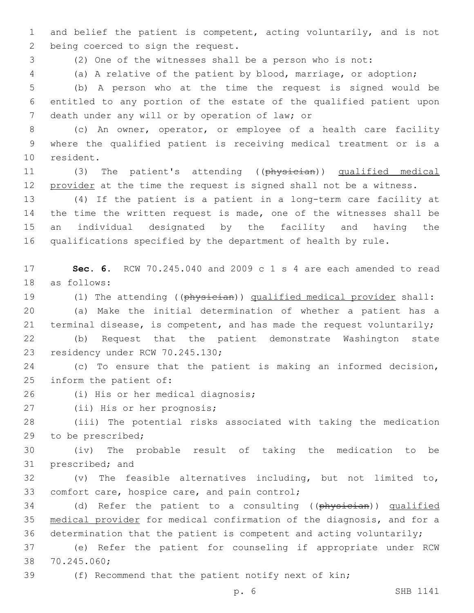1 and belief the patient is competent, acting voluntarily, and is not 2 being coerced to sign the request.

3 (2) One of the witnesses shall be a person who is not:

4 (a) A relative of the patient by blood, marriage, or adoption;

5 (b) A person who at the time the request is signed would be 6 entitled to any portion of the estate of the qualified patient upon 7 death under any will or by operation of law; or

8 (c) An owner, operator, or employee of a health care facility 9 where the qualified patient is receiving medical treatment or is a 10 resident.

11 (3) The patient's attending ((physician)) qualified medical 12 provider at the time the request is signed shall not be a witness.

 (4) If the patient is a patient in a long-term care facility at the time the written request is made, one of the witnesses shall be an individual designated by the facility and having the qualifications specified by the department of health by rule.

17 **Sec. 6.** RCW 70.245.040 and 2009 c 1 s 4 are each amended to read 18 as follows:

19 (1) The attending ((physician)) qualified medical provider shall:

20 (a) Make the initial determination of whether a patient has a 21 terminal disease, is competent, and has made the request voluntarily;

22 (b) Request that the patient demonstrate Washington state 23 residency under RCW 70.245.130;

24 (c) To ensure that the patient is making an informed decision, 25 inform the patient of:

26 (i) His or her medical diagnosis;

27 (ii) His or her prognosis;

28 (iii) The potential risks associated with taking the medication 29 to be prescribed;

30 (iv) The probable result of taking the medication to be 31 prescribed; and

32 (v) The feasible alternatives including, but not limited to, 33 comfort care, hospice care, and pain control;

34 (d) Refer the patient to a consulting ((physician)) qualified 35 medical provider for medical confirmation of the diagnosis, and for a 36 determination that the patient is competent and acting voluntarily;

37 (e) Refer the patient for counseling if appropriate under RCW 38 70.245.060;

39 (f) Recommend that the patient notify next of kin;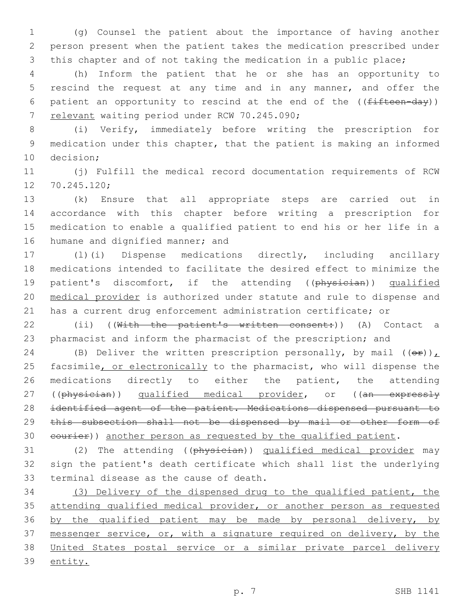1 (g) Counsel the patient about the importance of having another 2 person present when the patient takes the medication prescribed under 3 this chapter and of not taking the medication in a public place;

4 (h) Inform the patient that he or she has an opportunity to 5 rescind the request at any time and in any manner, and offer the 6 patient an opportunity to rescind at the end of the  $((fifteen-day))$ 7 relevant waiting period under RCW 70.245.090;

8 (i) Verify, immediately before writing the prescription for 9 medication under this chapter, that the patient is making an informed 10 decision;

11 (j) Fulfill the medical record documentation requirements of RCW 12 70.245.120;

 (k) Ensure that all appropriate steps are carried out in accordance with this chapter before writing a prescription for medication to enable a qualified patient to end his or her life in a 16 humane and dignified manner; and

 (l)(i) Dispense medications directly, including ancillary medications intended to facilitate the desired effect to minimize the 19 patient's discomfort, if the attending ((physician)) qualified medical provider is authorized under statute and rule to dispense and has a current drug enforcement administration certificate; or

22 (ii) ((With the patient's written consent:)) (A) Contact a 23 pharmacist and inform the pharmacist of the prescription; and

24 (B) Deliver the written prescription personally, by mail  $((\theta \cdot \mathbf{r}))$ 25 facsimile, or electronically to the pharmacist, who will dispense the 26 medications directly to either the patient, the attending 27 ((physician)) qualified medical provider, or ((an expressly 28 identified agent of the patient. Medications dispensed pursuant to 29 this subsection shall not be dispensed by mail or other form of 30 courier)) another person as requested by the qualified patient.

31 (2) The attending ((physician)) qualified medical provider may 32 sign the patient's death certificate which shall list the underlying 33 terminal disease as the cause of death.

34 (3) Delivery of the dispensed drug to the qualified patient, the 35 attending qualified medical provider, or another person as requested 36 by the qualified patient may be made by personal delivery, by 37 messenger service, or, with a signature required on delivery, by the 38 United States postal service or a similar private parcel delivery 39 entity.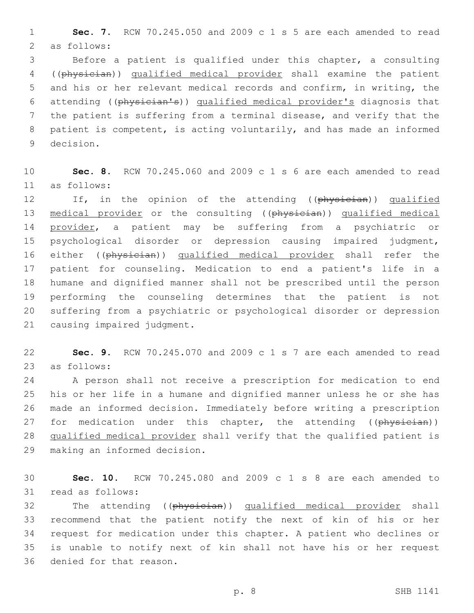1 **Sec. 7.** RCW 70.245.050 and 2009 c 1 s 5 are each amended to read 2 as follows:

 Before a patient is qualified under this chapter, a consulting ((physician)) qualified medical provider shall examine the patient and his or her relevant medical records and confirm, in writing, the attending ((physician's)) qualified medical provider's diagnosis that the patient is suffering from a terminal disease, and verify that the patient is competent, is acting voluntarily, and has made an informed 9 decision.

10 **Sec. 8.** RCW 70.245.060 and 2009 c 1 s 6 are each amended to read as follows:11

12 If, in the opinion of the attending ((physician)) qualified 13 medical provider or the consulting ((physician)) qualified medical 14 provider, a patient may be suffering from a psychiatric or 15 psychological disorder or depression causing impaired judgment, 16 either ((physician)) qualified medical provider shall refer the 17 patient for counseling. Medication to end a patient's life in a 18 humane and dignified manner shall not be prescribed until the person 19 performing the counseling determines that the patient is not 20 suffering from a psychiatric or psychological disorder or depression 21 causing impaired judgment.

22 **Sec. 9.** RCW 70.245.070 and 2009 c 1 s 7 are each amended to read 23 as follows:

24 A person shall not receive a prescription for medication to end 25 his or her life in a humane and dignified manner unless he or she has 26 made an informed decision. Immediately before writing a prescription 27 for medication under this chapter, the attending ((physician)) 28 qualified medical provider shall verify that the qualified patient is 29 making an informed decision.

30 **Sec. 10.** RCW 70.245.080 and 2009 c 1 s 8 are each amended to 31 read as follows:

32 The attending ((physician)) qualified medical provider shall 33 recommend that the patient notify the next of kin of his or her 34 request for medication under this chapter. A patient who declines or 35 is unable to notify next of kin shall not have his or her request 36 denied for that reason.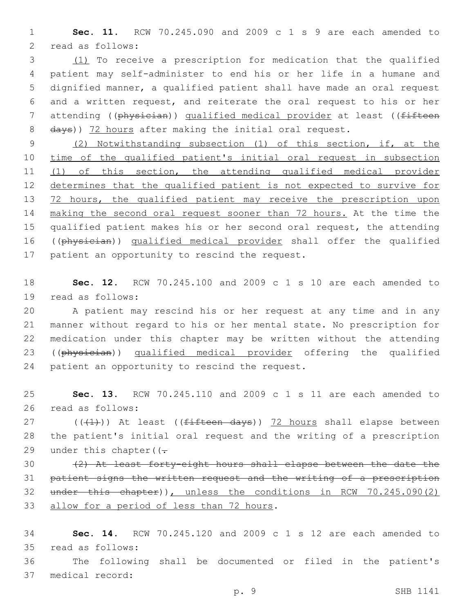**Sec. 11.** RCW 70.245.090 and 2009 c 1 s 9 are each amended to 2 read as follows:

 (1) To receive a prescription for medication that the qualified patient may self-administer to end his or her life in a humane and dignified manner, a qualified patient shall have made an oral request and a written request, and reiterate the oral request to his or her 7 attending ((physician)) qualified medical provider at least ((fifteen 8 days)) 72 hours after making the initial oral request.

 (2) Notwithstanding subsection (1) of this section, if, at the time of the qualified patient's initial oral request in subsection (1) of this section, the attending qualified medical provider determines that the qualified patient is not expected to survive for 13 72 hours, the qualified patient may receive the prescription upon making the second oral request sooner than 72 hours. At the time the qualified patient makes his or her second oral request, the attending ((physician)) qualified medical provider shall offer the qualified 17 patient an opportunity to rescind the request.

 **Sec. 12.** RCW 70.245.100 and 2009 c 1 s 10 are each amended to read as follows:19

 A patient may rescind his or her request at any time and in any manner without regard to his or her mental state. No prescription for medication under this chapter may be written without the attending ((physician)) qualified medical provider offering the qualified 24 patient an opportunity to rescind the request.

 **Sec. 13.** RCW 70.245.110 and 2009 c 1 s 11 are each amended to 26 read as follows:

27  $((+1))$  At least (( $f$ ifteen days)) 72 hours shall elapse between the patient's initial oral request and the writing of a prescription 29 under this chapter( $(-$ 

 (2) At least forty-eight hours shall elapse between the date the patient signs the written request and the writing of a prescription under this chapter)), unless the conditions in RCW 70.245.090(2) 33 allow for a period of less than 72 hours.

 **Sec. 14.** RCW 70.245.120 and 2009 c 1 s 12 are each amended to read as follows:35

 The following shall be documented or filed in the patient's 37 medical record: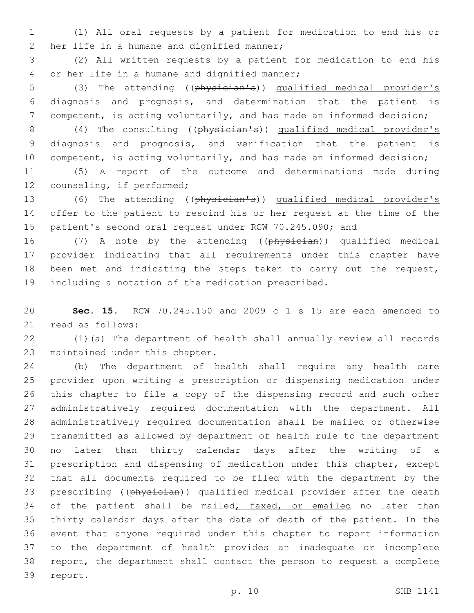(1) All oral requests by a patient for medication to end his or 2 her life in a humane and dignified manner;

 (2) All written requests by a patient for medication to end his 4 or her life in a humane and dignified manner;

 (3) The attending ((physician's)) qualified medical provider's diagnosis and prognosis, and determination that the patient is competent, is acting voluntarily, and has made an informed decision;

 (4) The consulting ((physician's)) qualified medical provider's diagnosis and prognosis, and verification that the patient is 10 competent, is acting voluntarily, and has made an informed decision;

 (5) A report of the outcome and determinations made during 12 counseling, if performed;

 (6) The attending ((physician's)) qualified medical provider's offer to the patient to rescind his or her request at the time of the patient's second oral request under RCW 70.245.090; and

16 (7) A note by the attending ((physician)) qualified medical 17 provider indicating that all requirements under this chapter have been met and indicating the steps taken to carry out the request, including a notation of the medication prescribed.

 **Sec. 15.** RCW 70.245.150 and 2009 c 1 s 15 are each amended to 21 read as follows:

 (1)(a) The department of health shall annually review all records 23 maintained under this chapter.

 (b) The department of health shall require any health care provider upon writing a prescription or dispensing medication under this chapter to file a copy of the dispensing record and such other administratively required documentation with the department. All administratively required documentation shall be mailed or otherwise transmitted as allowed by department of health rule to the department no later than thirty calendar days after the writing of a prescription and dispensing of medication under this chapter, except that all documents required to be filed with the department by the 33 prescribing ((physician)) qualified medical provider after the death 34 of the patient shall be mailed, faxed, or emailed no later than thirty calendar days after the date of death of the patient. In the event that anyone required under this chapter to report information to the department of health provides an inadequate or incomplete report, the department shall contact the person to request a complete 39 report.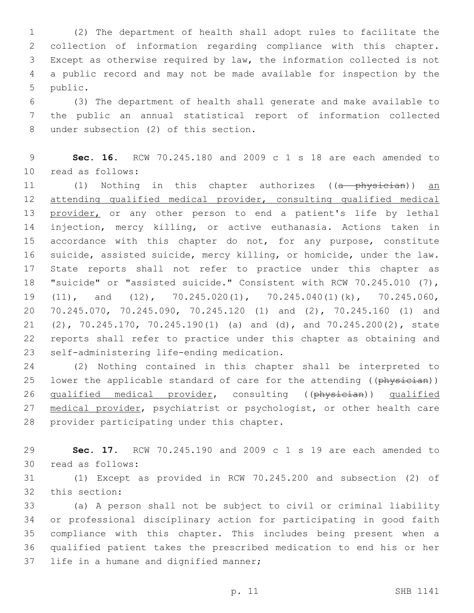(2) The department of health shall adopt rules to facilitate the collection of information regarding compliance with this chapter. Except as otherwise required by law, the information collected is not a public record and may not be made available for inspection by the 5 public.

 (3) The department of health shall generate and make available to the public an annual statistical report of information collected 8 under subsection (2) of this section.

 **Sec. 16.** RCW 70.245.180 and 2009 c 1 s 18 are each amended to 10 read as follows:

11 (1) Nothing in this chapter authorizes ((a physician)) an attending qualified medical provider, consulting qualified medical 13 provider, or any other person to end a patient's life by lethal injection, mercy killing, or active euthanasia. Actions taken in 15 accordance with this chapter do not, for any purpose, constitute suicide, assisted suicide, mercy killing, or homicide, under the law. State reports shall not refer to practice under this chapter as "suicide" or "assisted suicide." Consistent with RCW 70.245.010 (7), (11), and (12), 70.245.020(1), 70.245.040(1)(k), 70.245.060, 70.245.070, 70.245.090, 70.245.120 (1) and (2), 70.245.160 (1) and (2), 70.245.170, 70.245.190(1) (a) and (d), and 70.245.200(2), state reports shall refer to practice under this chapter as obtaining and 23 self-administering life-ending medication.

 (2) Nothing contained in this chapter shall be interpreted to 25 lower the applicable standard of care for the attending ((physician)) 26 qualified medical provider, consulting ((physician)) qualified 27 medical provider, psychiatrist or psychologist, or other health care 28 provider participating under this chapter.

 **Sec. 17.** RCW 70.245.190 and 2009 c 1 s 19 are each amended to 30 read as follows:

 (1) Except as provided in RCW 70.245.200 and subsection (2) of 32 this section:

 (a) A person shall not be subject to civil or criminal liability or professional disciplinary action for participating in good faith compliance with this chapter. This includes being present when a qualified patient takes the prescribed medication to end his or her 37 life in a humane and dignified manner;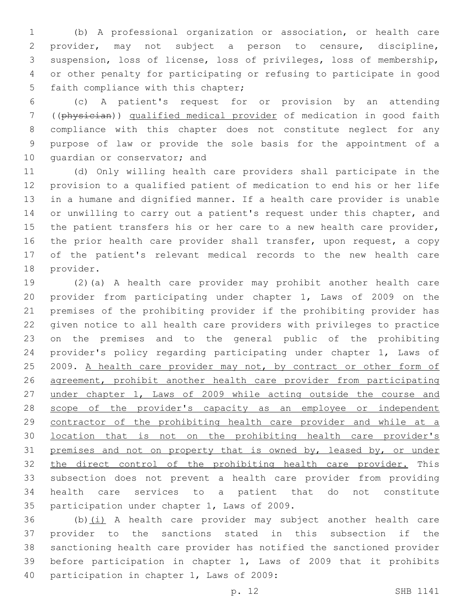(b) A professional organization or association, or health care provider, may not subject a person to censure, discipline, suspension, loss of license, loss of privileges, loss of membership, or other penalty for participating or refusing to participate in good 5 faith compliance with this chapter;

 (c) A patient's request for or provision by an attending ((physician)) qualified medical provider of medication in good faith compliance with this chapter does not constitute neglect for any purpose of law or provide the sole basis for the appointment of a 10 quardian or conservator; and

 (d) Only willing health care providers shall participate in the provision to a qualified patient of medication to end his or her life in a humane and dignified manner. If a health care provider is unable or unwilling to carry out a patient's request under this chapter, and 15 the patient transfers his or her care to a new health care provider, 16 the prior health care provider shall transfer, upon request, a copy of the patient's relevant medical records to the new health care 18 provider.

 (2)(a) A health care provider may prohibit another health care provider from participating under chapter 1, Laws of 2009 on the premises of the prohibiting provider if the prohibiting provider has given notice to all health care providers with privileges to practice on the premises and to the general public of the prohibiting provider's policy regarding participating under chapter 1, Laws of 25 2009. A health care provider may not, by contract or other form of agreement, prohibit another health care provider from participating 27 under chapter 1, Laws of 2009 while acting outside the course and 28 scope of the provider's capacity as an employee or independent 29 contractor of the prohibiting health care provider and while at a location that is not on the prohibiting health care provider's 31 premises and not on property that is owned by, leased by, or under the direct control of the prohibiting health care provider. This subsection does not prevent a health care provider from providing health care services to a patient that do not constitute 35 participation under chapter 1, Laws of 2009.

 (b)(i) A health care provider may subject another health care provider to the sanctions stated in this subsection if the sanctioning health care provider has notified the sanctioned provider before participation in chapter 1, Laws of 2009 that it prohibits 40 participation in chapter 1, Laws of 2009: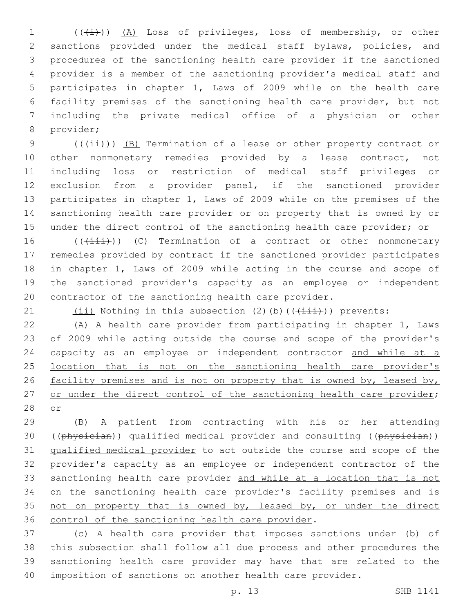1 (((i)) (A) Loss of privileges, loss of membership, or other sanctions provided under the medical staff bylaws, policies, and procedures of the sanctioning health care provider if the sanctioned provider is a member of the sanctioning provider's medical staff and participates in chapter 1, Laws of 2009 while on the health care facility premises of the sanctioning health care provider, but not including the private medical office of a physician or other 8 provider;

9 ( $(\frac{1+i}{i})$ ) (B) Termination of a lease or other property contract or 10 other nonmonetary remedies provided by a lease contract, not including loss or restriction of medical staff privileges or exclusion from a provider panel, if the sanctioned provider participates in chapter 1, Laws of 2009 while on the premises of the sanctioning health care provider or on property that is owned by or 15 under the direct control of the sanctioning health care provider; or

16 (( $(i\text{iii})$ ) (C) Termination of a contract or other nonmonetary remedies provided by contract if the sanctioned provider participates in chapter 1, Laws of 2009 while acting in the course and scope of the sanctioned provider's capacity as an employee or independent contractor of the sanctioning health care provider.

21  $(iii)$  Nothing in this subsection (2)(b)( $(\overrightarrow{+i}i)$ ) prevents:

 (A) A health care provider from participating in chapter 1, Laws of 2009 while acting outside the course and scope of the provider's 24 capacity as an employee or independent contractor and while at a 25 location that is not on the sanctioning health care provider's 26 facility premises and is not on property that is owned by, leased by, 27 or under the direct control of the sanctioning health care provider; 28 or

 (B) A patient from contracting with his or her attending 30 ((physician)) qualified medical provider and consulting ((physician)) qualified medical provider to act outside the course and scope of the provider's capacity as an employee or independent contractor of the sanctioning health care provider and while at a location that is not on the sanctioning health care provider's facility premises and is 35 not on property that is owned by, leased by, or under the direct 36 control of the sanctioning health care provider.

 (c) A health care provider that imposes sanctions under (b) of this subsection shall follow all due process and other procedures the sanctioning health care provider may have that are related to the imposition of sanctions on another health care provider.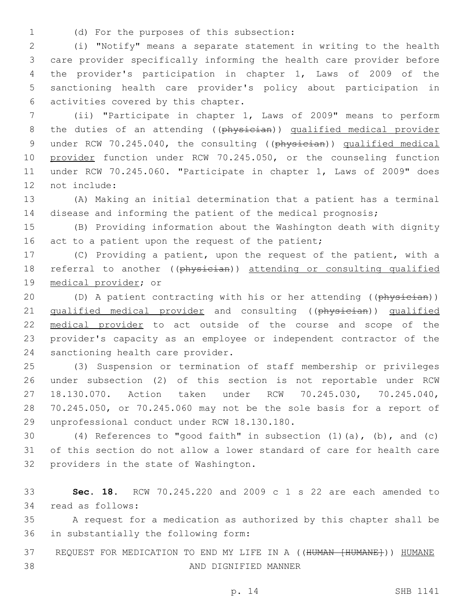(d) For the purposes of this subsection:1

 (i) "Notify" means a separate statement in writing to the health care provider specifically informing the health care provider before the provider's participation in chapter 1, Laws of 2009 of the sanctioning health care provider's policy about participation in 6 activities covered by this chapter.

7 (ii) "Participate in chapter 1, Laws of 2009" means to perform 8 the duties of an attending ((physician)) qualified medical provider 9 under RCW 70.245.040, the consulting ((physician)) qualified medical 10 provider function under RCW 70.245.050, or the counseling function 11 under RCW 70.245.060. "Participate in chapter 1, Laws of 2009" does 12 not include:

13 (A) Making an initial determination that a patient has a terminal 14 disease and informing the patient of the medical prognosis;

15 (B) Providing information about the Washington death with dignity 16 act to a patient upon the request of the patient;

17 (C) Providing a patient, upon the request of the patient, with a 18 referral to another ((physician)) attending or consulting qualified 19 medical provider; or

20 (D) A patient contracting with his or her attending ((physician)) 21 qualified medical provider and consulting ((physician)) qualified 22 medical provider to act outside of the course and scope of the 23 provider's capacity as an employee or independent contractor of the 24 sanctioning health care provider.

 (3) Suspension or termination of staff membership or privileges under subsection (2) of this section is not reportable under RCW 18.130.070. Action taken under RCW 70.245.030, 70.245.040, 70.245.050, or 70.245.060 may not be the sole basis for a report of 29 unprofessional conduct under RCW 18.130.180.

30 (4) References to "good faith" in subsection (1)(a), (b), and (c) 31 of this section do not allow a lower standard of care for health care 32 providers in the state of Washington.

33 **Sec. 18.** RCW 70.245.220 and 2009 c 1 s 22 are each amended to 34 read as follows:

35 A request for a medication as authorized by this chapter shall be 36 in substantially the following form:

37 REQUEST FOR MEDICATION TO END MY LIFE IN A ((HUMAN [HUMANE])) HUMANE AND DIGNIFIED MANNER38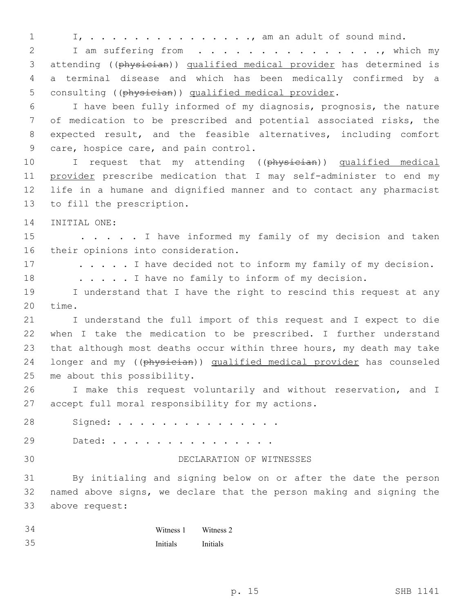1 I, . . . . . . . . . . . . . . ., am an adult of sound mind. 2 I am suffering from . . . . . . . . . . . . . . . which my 3 attending ((physician)) qualified medical provider has determined is 4 a terminal disease and which has been medically confirmed by a 5 consulting ((physician)) qualified medical provider. 6 I have been fully informed of my diagnosis, prognosis, the nature 7 of medication to be prescribed and potential associated risks, the 8 expected result, and the feasible alternatives, including comfort 9 care, hospice care, and pain control. 10 I request that my attending ((physician)) qualified medical 11 provider prescribe medication that I may self-administer to end my 12 life in a humane and dignified manner and to contact any pharmacist 13 to fill the prescription. 14 INITIAL ONE: 15 . . . . I have informed my family of my decision and taken 16 their opinions into consideration. 17 . . . . . I have decided not to inform my family of my decision. 18 . . . . . I have no family to inform of my decision. 19 I understand that I have the right to rescind this request at any 20 time. 21 I understand the full import of this request and I expect to die 22 when I take the medication to be prescribed. I further understand 23 that although most deaths occur within three hours, my death may take 24 longer and my ((physician)) qualified medical provider has counseled 25 me about this possibility. 26 I make this request voluntarily and without reservation, and I 27 accept full moral responsibility for my actions. Signed: . . . . . . . . . . . . . . .28 Dated: . . . . . . . . . . . . . . .29 30 DECLARATION OF WITNESSES 31 By initialing and signing below on or after the date the person 32 named above signs, we declare that the person making and signing the 33 above request: 34 35 Witness 1 Initials Witness 2 Initials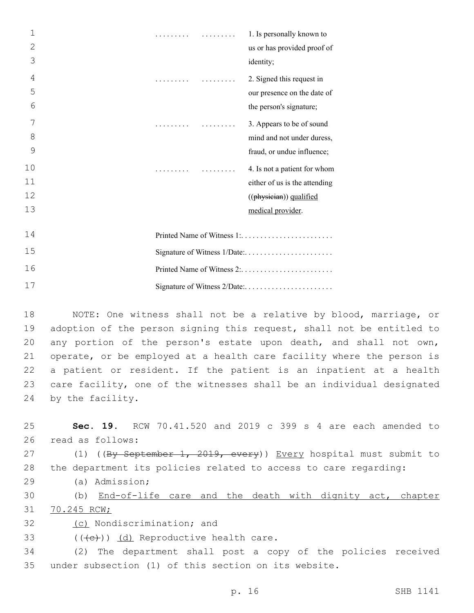| $\mathbf{1}$   | .                            |  | 1. Is personally known to     |
|----------------|------------------------------|--|-------------------------------|
| $\overline{2}$ |                              |  | us or has provided proof of   |
| 3              |                              |  | identity;                     |
| $\overline{4}$ | .                            |  | 2. Signed this request in     |
| 5              |                              |  | our presence on the date of   |
| 6              |                              |  | the person's signature;       |
| 7              | .                            |  | 3. Appears to be of sound     |
| 8              |                              |  | mind and not under duress,    |
| 9              |                              |  | fraud, or undue influence;    |
| 10             |                              |  | 4. Is not a patient for whom  |
| 11             |                              |  | either of us is the attending |
| 12             |                              |  | ((physician)) qualified       |
| 13             |                              |  | medical provider.             |
| 14             |                              |  |                               |
| 15             | Signature of Witness 1/Date: |  |                               |
| 16             | Printed Name of Witness 2:   |  |                               |
| 17             |                              |  | Signature of Witness 2/Date:  |

 NOTE: One witness shall not be a relative by blood, marriage, or adoption of the person signing this request, shall not be entitled to any portion of the person's estate upon death, and shall not own, operate, or be employed at a health care facility where the person is a patient or resident. If the patient is an inpatient at a health care facility, one of the witnesses shall be an individual designated 24 by the facility.

25 **Sec. 19.** RCW 70.41.520 and 2019 c 399 s 4 are each amended to 26 read as follows:

27 (1) ((By September 1, 2019, every)) Every hospital must submit to 28 the department its policies related to access to care regarding:

(a) Admission;29

30 (b) End-of-life care and the death with dignity act, chapter 31 70.245 RCW;

32 (c) Nondiscrimination; and

33  $((\text{e}))(\text{d})$  Reproductive health care.

34 (2) The department shall post a copy of the policies received 35 under subsection (1) of this section on its website.